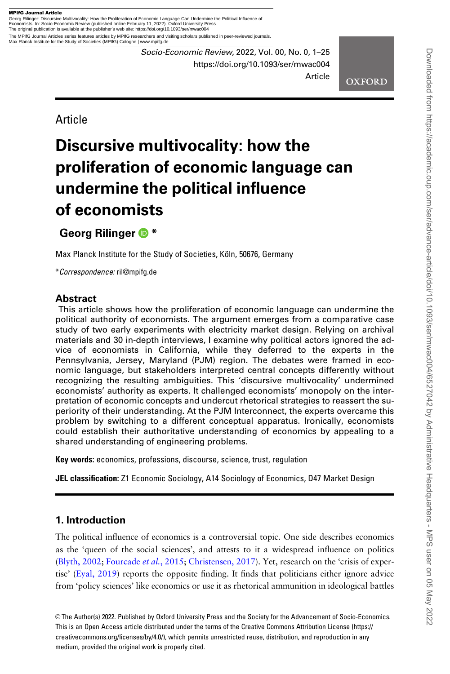Georg Rilinger: Discursive Multivocality: How the Proliferation of Economic Language Can Undermine the Political Influence of<br>Economists. In: Socio-Economic Review (published online February 11, 2022). Oxford University Pr

The MPIfG Journal Articles series features articles by MPIfG researchers and visiting scholars published in peer-reviewed journals. Max Planck Institute for the Study of Societies (MPIfG) Cologne | www.mpifg.de

> Socio-Economic Review, 2022, Vol. 00, No. 0, 1–25 https://doi.org/10.1093/ser/mwac004 Article

**OXFORD** 

Article

# Discursive multivocality: how the proliferation of economic language can undermine the political influence of economists

# Georg Rilinger <sup>D \*</sup>

Max Planck Institute for the Study of Societies, Köln, 50676, Germany

\*Correspondence: ril@mpifg.de

# Abstract

This article shows how the proliferation of economic language can undermine the political authority of economists. The argument emerges from a comparative case study of two early experiments with electricity market design. Relying on archival materials and 30 in-depth interviews, I examine why political actors ignored the advice of economists in California, while they deferred to the experts in the Pennsylvania, Jersey, Maryland (PJM) region. The debates were framed in economic language, but stakeholders interpreted central concepts differently without recognizing the resulting ambiguities. This 'discursive multivocality' undermined economists' authority as experts. It challenged economists' monopoly on the interpretation of economic concepts and undercut rhetorical strategies to reassert the superiority of their understanding. At the PJM Interconnect, the experts overcame this problem by switching to a different conceptual apparatus. Ironically, economists could establish their authoritative understanding of economics by appealing to a shared understanding of engineering problems.

Key words: economics, professions, discourse, science, trust, regulation

JEL classification: Z1 Economic Sociology, A14 Sociology of Economics, D47 Market Design

# 1. Introduction

The political influence of economics is a controversial topic. One side describes economics as the 'queen of the social sciences', and attests to it a widespread influence on politics [\(Blyth, 2002;](#page-22-0) [Fourcade](#page-23-0) *et al.*, 2015; [Christensen, 2017](#page-22-0)). Yet, research on the 'crisis of expertise' ([Eyal, 2019\)](#page-23-0) reports the opposite finding. It finds that politicians either ignore advice from 'policy sciences' like economics or use it as rhetorical ammunition in ideological battles

V<sup>C</sup> The Author(s) 2022. Published by Oxford University Press and the Society for the Advancement of Socio-Economics. This is an Open Access article distributed under the terms of the Creative Commons Attribution License (https:// creativecommons.org/licenses/by/4.0/), which permits unrestricted reuse, distribution, and reproduction in any medium, provided the original work is properly cited.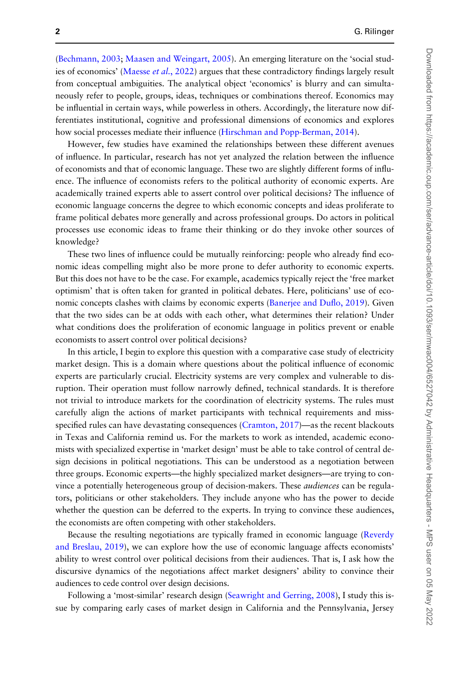[\(Bechmann, 2003;](#page-22-0) [Maasen and Weingart, 2005\)](#page-23-0). An emerging literature on the 'social stud-ies of economics' ([Maesse](#page-23-0) *et al.*, 2022) argues that these contradictory findings largely result from conceptual ambiguities. The analytical object 'economics' is blurry and can simultaneously refer to people, groups, ideas, techniques or combinations thereof. Economics may be influential in certain ways, while powerless in others. Accordingly, the literature now differentiates institutional, cognitive and professional dimensions of economics and explores how social processes mediate their influence ([Hirschman and Popp-Berman, 2014](#page-23-0)).

However, few studies have examined the relationships between these different avenues of influence. In particular, research has not yet analyzed the relation between the influence of economists and that of economic language. These two are slightly different forms of influence. The influence of economists refers to the political authority of economic experts. Are academically trained experts able to assert control over political decisions? The influence of economic language concerns the degree to which economic concepts and ideas proliferate to frame political debates more generally and across professional groups. Do actors in political processes use economic ideas to frame their thinking or do they invoke other sources of knowledge?

These two lines of influence could be mutually reinforcing: people who already find economic ideas compelling might also be more prone to defer authority to economic experts. But this does not have to be the case. For example, academics typically reject the 'free market optimism' that is often taken for granted in political debates. Here, politicians' use of economic concepts clashes with claims by economic experts ([Banerjee and Duflo, 2019\)](#page-22-0). Given that the two sides can be at odds with each other, what determines their relation? Under what conditions does the proliferation of economic language in politics prevent or enable economists to assert control over political decisions?

In this article, I begin to explore this question with a comparative case study of electricity market design. This is a domain where questions about the political influence of economic experts are particularly crucial. Electricity systems are very complex and vulnerable to disruption. Their operation must follow narrowly defined, technical standards. It is therefore not trivial to introduce markets for the coordination of electricity systems. The rules must carefully align the actions of market participants with technical requirements and missspecified rules can have devastating consequences [\(Cramton, 2017](#page-22-0))—as the recent blackouts in Texas and California remind us. For the markets to work as intended, academic economists with specialized expertise in 'market design' must be able to take control of central design decisions in political negotiations. This can be understood as a negotiation between three groups. Economic experts—the highly specialized market designers—are trying to convince a potentially heterogeneous group of decision-makers. These *audiences* can be regulators, politicians or other stakeholders. They include anyone who has the power to decide whether the question can be deferred to the experts. In trying to convince these audiences, the economists are often competing with other stakeholders.

Because the resulting negotiations are typically framed in economic language ([Reverdy](#page-24-0) [and Breslau, 2019\)](#page-24-0), we can explore how the use of economic language affects economists' ability to wrest control over political decisions from their audiences. That is, I ask how the discursive dynamics of the negotiations affect market designers' ability to convince their audiences to cede control over design decisions.

Following a 'most-similar' research design [\(Seawright and Gerring, 2008\)](#page-24-0), I study this issue by comparing early cases of market design in California and the Pennsylvania, Jersey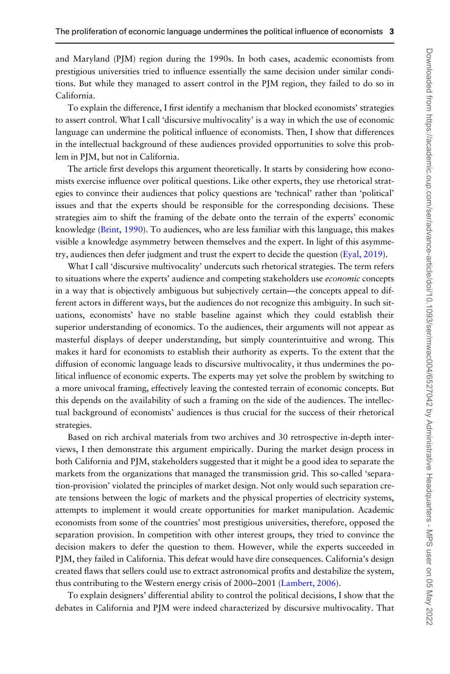and Maryland (PJM) region during the 1990s. In both cases, academic economists from prestigious universities tried to influence essentially the same decision under similar conditions. But while they managed to assert control in the PJM region, they failed to do so in California.

To explain the difference, I first identify a mechanism that blocked economists' strategies to assert control. What I call 'discursive multivocality' is a way in which the use of economic language can undermine the political influence of economists. Then, I show that differences in the intellectual background of these audiences provided opportunities to solve this problem in PJM, but not in California.

The article first develops this argument theoretically. It starts by considering how economists exercise influence over political questions. Like other experts, they use rhetorical strategies to convince their audiences that policy questions are 'technical' rather than 'political' issues and that the experts should be responsible for the corresponding decisions. These strategies aim to shift the framing of the debate onto the terrain of the experts' economic knowledge [\(Brint, 1990\)](#page-22-0). To audiences, who are less familiar with this language, this makes visible a knowledge asymmetry between themselves and the expert. In light of this asymmetry, audiences then defer judgment and trust the expert to decide the question [\(Eyal, 2019](#page-23-0)).

What I call 'discursive multivocality' undercuts such rhetorical strategies. The term refers to situations where the experts' audience and competing stakeholders use *economic* concepts in a way that is objectively ambiguous but subjectively certain—the concepts appeal to different actors in different ways, but the audiences do not recognize this ambiguity. In such situations, economists' have no stable baseline against which they could establish their superior understanding of economics. To the audiences, their arguments will not appear as masterful displays of deeper understanding, but simply counterintuitive and wrong. This makes it hard for economists to establish their authority as experts. To the extent that the diffusion of economic language leads to discursive multivocality, it thus undermines the political influence of economic experts. The experts may yet solve the problem by switching to a more univocal framing, effectively leaving the contested terrain of economic concepts. But this depends on the availability of such a framing on the side of the audiences. The intellectual background of economists' audiences is thus crucial for the success of their rhetorical strategies.

Based on rich archival materials from two archives and 30 retrospective in-depth interviews, I then demonstrate this argument empirically. During the market design process in both California and PJM, stakeholders suggested that it might be a good idea to separate the markets from the organizations that managed the transmission grid. This so-called 'separation-provision' violated the principles of market design. Not only would such separation create tensions between the logic of markets and the physical properties of electricity systems, attempts to implement it would create opportunities for market manipulation. Academic economists from some of the countries' most prestigious universities, therefore, opposed the separation provision. In competition with other interest groups, they tried to convince the decision makers to defer the question to them. However, while the experts succeeded in PJM, they failed in California. This defeat would have dire consequences. California's design created flaws that sellers could use to extract astronomical profits and destabilize the system, thus contributing to the Western energy crisis of 2000–2001 [\(Lambert, 2006](#page-23-0)).

To explain designers' differential ability to control the political decisions, I show that the debates in California and PJM were indeed characterized by discursive multivocality. That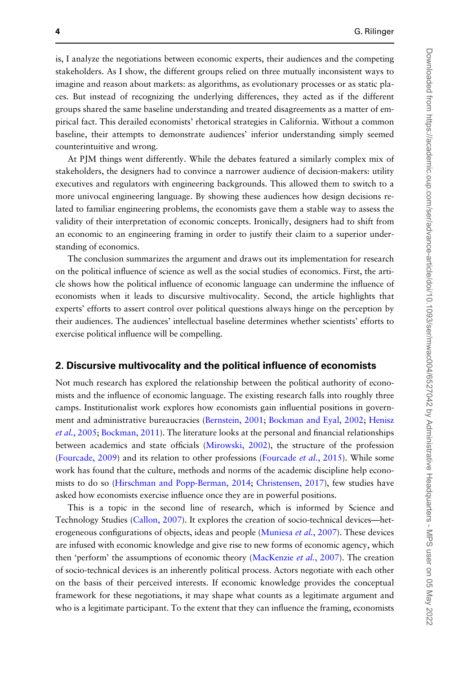is, I analyze the negotiations between economic experts, their audiences and the competing stakeholders. As I show, the different groups relied on three mutually inconsistent ways to imagine and reason about markets: as algorithms, as evolutionary processes or as static places. But instead of recognizing the underlying differences, they acted as if the different groups shared the same baseline understanding and treated disagreements as a matter of empirical fact. This derailed economists' rhetorical strategies in California. Without a common baseline, their attempts to demonstrate audiences' inferior understanding simply seemed counterintuitive and wrong.

At PJM things went differently. While the debates featured a similarly complex mix of stakeholders, the designers had to convince a narrower audience of decision-makers: utility executives and regulators with engineering backgrounds. This allowed them to switch to a more univocal engineering language. By showing these audiences how design decisions related to familiar engineering problems, the economists gave them a stable way to assess the validity of their interpretation of economic concepts. Ironically, designers had to shift from an economic to an engineering framing in order to justify their claim to a superior understanding of economics.

The conclusion summarizes the argument and draws out its implementation for research on the political influence of science as well as the social studies of economics. First, the article shows how the political influence of economic language can undermine the influence of economists when it leads to discursive multivocality. Second, the article highlights that experts' efforts to assert control over political questions always hinge on the perception by their audiences. The audiences' intellectual baseline determines whether scientists' efforts to exercise political influence will be compelling.

## 2. Discursive multivocality and the political influence of economists

Not much research has explored the relationship between the political authority of economists and the influence of economic language. The existing research falls into roughly three camps. Institutionalist work explores how economists gain influential positions in government and administrative bureaucracies ([Bernstein, 2001](#page-22-0); [Bockman and Eyal, 2002;](#page-22-0) [Henisz](#page-23-0) et al.[, 2005](#page-23-0); [Bockman, 2011](#page-22-0)). The literature looks at the personal and financial relationships between academics and state officials ([Mirowski, 2002](#page-23-0)), the structure of the profession [\(Fourcade, 2009](#page-23-0)) and its relation to other professions ([Fourcade](#page-23-0) *et al.*, 2015). While some work has found that the culture, methods and norms of the academic discipline help economists to do so [\(Hirschman and Popp-Berman, 2014;](#page-23-0) [Christensen, 2017\)](#page-22-0), few studies have asked how economists exercise influence once they are in powerful positions.

This is a topic in the second line of research, which is informed by Science and Technology Studies ([Callon, 2007\)](#page-22-0). It explores the creation of socio-technical devices—het-erogeneous configurations of objects, ideas and people ([Muniesa](#page-24-0) et al., 2007). These devices are infused with economic knowledge and give rise to new forms of economic agency, which then 'perform' the assumptions of economic theory [\(MacKenzie](#page-23-0) et al., 2007). The creation of socio-technical devices is an inherently political process. Actors negotiate with each other on the basis of their perceived interests. If economic knowledge provides the conceptual framework for these negotiations, it may shape what counts as a legitimate argument and who is a legitimate participant. To the extent that they can influence the framing, economists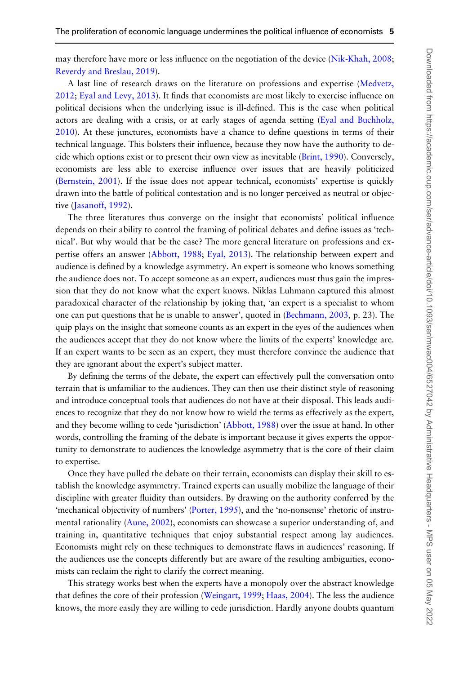may therefore have more or less influence on the negotiation of the device ([Nik-Khah, 2008](#page-24-0); [Reverdy and Breslau, 2019](#page-24-0)).

A last line of research draws on the literature on professions and expertise ([Medvetz,](#page-23-0) [2012](#page-23-0); [Eyal and Levy, 2013](#page-23-0)). It finds that economists are most likely to exercise influence on political decisions when the underlying issue is ill-defined. This is the case when political actors are dealing with a crisis, or at early stages of agenda setting [\(Eyal and Buchholz,](#page-23-0) [2010](#page-23-0)). At these junctures, economists have a chance to define questions in terms of their technical language. This bolsters their influence, because they now have the authority to decide which options exist or to present their own view as inevitable ([Brint, 1990\)](#page-22-0). Conversely, economists are less able to exercise influence over issues that are heavily politicized [\(Bernstein, 2001](#page-22-0)). If the issue does not appear technical, economists' expertise is quickly drawn into the battle of political contestation and is no longer perceived as neutral or objec-tive ([Jasanoff, 1992\)](#page-23-0).

The three literatures thus converge on the insight that economists' political influence depends on their ability to control the framing of political debates and define issues as 'technical'. But why would that be the case? The more general literature on professions and expertise offers an answer ([Abbott, 1988](#page-22-0); [Eyal, 2013\)](#page-22-0). The relationship between expert and audience is defined by a knowledge asymmetry. An expert is someone who knows something the audience does not. To accept someone as an expert, audiences must thus gain the impression that they do not know what the expert knows. Niklas Luhmann captured this almost paradoxical character of the relationship by joking that, 'an expert is a specialist to whom one can put questions that he is unable to answer', quoted in [\(Bechmann, 2003,](#page-22-0) p. 23). The quip plays on the insight that someone counts as an expert in the eyes of the audiences when the audiences accept that they do not know where the limits of the experts' knowledge are. If an expert wants to be seen as an expert, they must therefore convince the audience that they are ignorant about the expert's subject matter.

By defining the terms of the debate, the expert can effectively pull the conversation onto terrain that is unfamiliar to the audiences. They can then use their distinct style of reasoning and introduce conceptual tools that audiences do not have at their disposal. This leads audiences to recognize that they do not know how to wield the terms as effectively as the expert, and they become willing to cede 'jurisdiction' [\(Abbott, 1988](#page-22-0)) over the issue at hand. In other words, controlling the framing of the debate is important because it gives experts the opportunity to demonstrate to audiences the knowledge asymmetry that is the core of their claim to expertise.

Once they have pulled the debate on their terrain, economists can display their skill to establish the knowledge asymmetry. Trained experts can usually mobilize the language of their discipline with greater fluidity than outsiders. By drawing on the authority conferred by the 'mechanical objectivity of numbers' ([Porter, 1995](#page-24-0)), and the 'no-nonsense' rhetoric of instrumental rationality ([Aune, 2002](#page-22-0)), economists can showcase a superior understanding of, and training in, quantitative techniques that enjoy substantial respect among lay audiences. Economists might rely on these techniques to demonstrate flaws in audiences' reasoning. If the audiences use the concepts differently but are aware of the resulting ambiguities, economists can reclaim the right to clarify the correct meaning.

This strategy works best when the experts have a monopoly over the abstract knowledge that defines the core of their profession [\(Weingart, 1999](#page-24-0); [Haas, 2004](#page-23-0)). The less the audience knows, the more easily they are willing to cede jurisdiction. Hardly anyone doubts quantum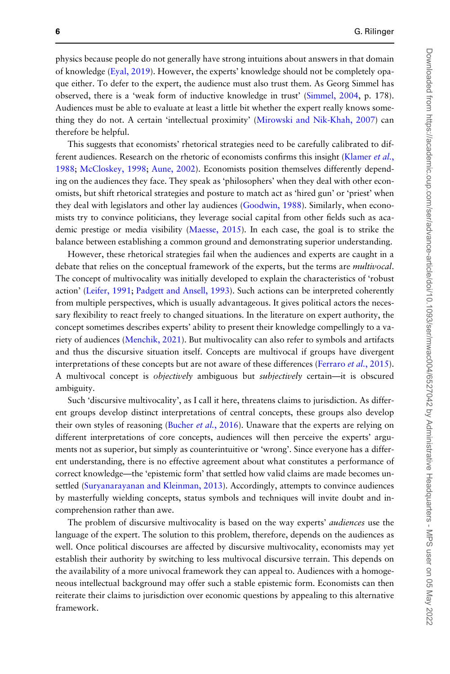physics because people do not generally have strong intuitions about answers in that domain of knowledge ([Eyal, 2019\)](#page-23-0). However, the experts' knowledge should not be completely opaque either. To defer to the expert, the audience must also trust them. As Georg Simmel has observed, there is a 'weak form of inductive knowledge in trust' ([Simmel, 2004,](#page-24-0) p. 178). Audiences must be able to evaluate at least a little bit whether the expert really knows something they do not. A certain 'intellectual proximity' [\(Mirowski and Nik-Khah, 2007\)](#page-23-0) can therefore be helpful.

This suggests that economists' rhetorical strategies need to be carefully calibrated to dif-ferent audiences. Research on the rhetoric of economists confirms this insight ([Klamer](#page-23-0) et al., [1988](#page-23-0); [McCloskey, 1998;](#page-23-0) [Aune, 2002](#page-22-0)). Economists position themselves differently depending on the audiences they face. They speak as 'philosophers' when they deal with other economists, but shift rhetorical strategies and posture to match act as 'hired gun' or 'priest' when they deal with legislators and other lay audiences ([Goodwin, 1988\)](#page-23-0). Similarly, when economists try to convince politicians, they leverage social capital from other fields such as academic prestige or media visibility ([Maesse, 2015](#page-23-0)). In each case, the goal is to strike the balance between establishing a common ground and demonstrating superior understanding.

However, these rhetorical strategies fail when the audiences and experts are caught in a debate that relies on the conceptual framework of the experts, but the terms are *multivocal*. The concept of multivocality was initially developed to explain the characteristics of 'robust action' ([Leifer, 1991](#page-23-0); [Padgett and Ansell, 1993\)](#page-24-0). Such actions can be interpreted coherently from multiple perspectives, which is usually advantageous. It gives political actors the necessary flexibility to react freely to changed situations. In the literature on expert authority, the concept sometimes describes experts' ability to present their knowledge compellingly to a variety of audiences ([Menchik, 2021](#page-23-0)). But multivocality can also refer to symbols and artifacts and thus the discursive situation itself. Concepts are multivocal if groups have divergent interpretations of these concepts but are not aware of these differences ([Ferraro](#page-23-0) et al., 2015). A multivocal concept is objectively ambiguous but subjectively certain—it is obscured ambiguity.

Such 'discursive multivocality', as I call it here, threatens claims to jurisdiction. As different groups develop distinct interpretations of central concepts, these groups also develop their own styles of reasoning [\(Bucher](#page-22-0) et al., 2016). Unaware that the experts are relying on different interpretations of core concepts, audiences will then perceive the experts' arguments not as superior, but simply as counterintuitive or 'wrong'. Since everyone has a different understanding, there is no effective agreement about what constitutes a performance of correct knowledge—the 'epistemic form' that settled how valid claims are made becomes unsettled ([Suryanarayanan and Kleinman, 2013](#page-24-0)). Accordingly, attempts to convince audiences by masterfully wielding concepts, status symbols and techniques will invite doubt and incomprehension rather than awe.

The problem of discursive multivocality is based on the way experts' *audiences* use the language of the expert. The solution to this problem, therefore, depends on the audiences as well. Once political discourses are affected by discursive multivocality, economists may yet establish their authority by switching to less multivocal discursive terrain. This depends on the availability of a more univocal framework they can appeal to. Audiences with a homogeneous intellectual background may offer such a stable epistemic form. Economists can then reiterate their claims to jurisdiction over economic questions by appealing to this alternative framework.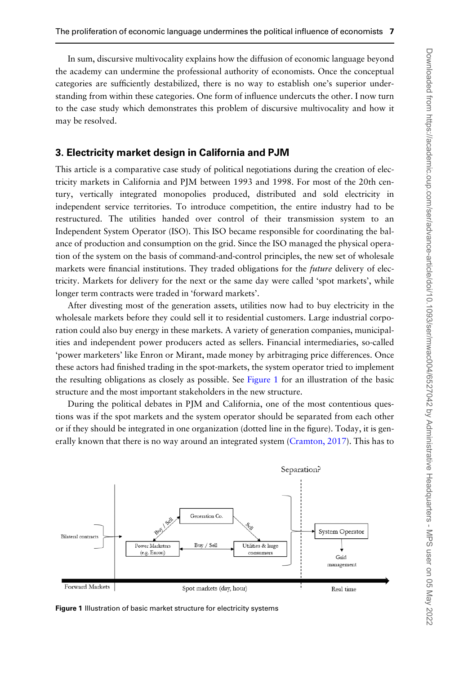In sum, discursive multivocality explains how the diffusion of economic language beyond the academy can undermine the professional authority of economists. Once the conceptual categories are sufficiently destabilized, there is no way to establish one's superior understanding from within these categories. One form of influence undercuts the other. I now turn to the case study which demonstrates this problem of discursive multivocality and how it may be resolved.

# 3. Electricity market design in California and PJM

This article is a comparative case study of political negotiations during the creation of electricity markets in California and PJM between 1993 and 1998. For most of the 20th century, vertically integrated monopolies produced, distributed and sold electricity in independent service territories. To introduce competition, the entire industry had to be restructured. The utilities handed over control of their transmission system to an Independent System Operator (ISO). This ISO became responsible for coordinating the balance of production and consumption on the grid. Since the ISO managed the physical operation of the system on the basis of command-and-control principles, the new set of wholesale markets were financial institutions. They traded obligations for the *future* delivery of electricity. Markets for delivery for the next or the same day were called 'spot markets', while longer term contracts were traded in 'forward markets'.

After divesting most of the generation assets, utilities now had to buy electricity in the wholesale markets before they could sell it to residential customers. Large industrial corporation could also buy energy in these markets. A variety of generation companies, municipalities and independent power producers acted as sellers. Financial intermediaries, so-called 'power marketers' like Enron or Mirant, made money by arbitraging price differences. Once these actors had finished trading in the spot-markets, the system operator tried to implement the resulting obligations as closely as possible. See Figure 1 for an illustration of the basic structure and the most important stakeholders in the new structure.

During the political debates in PJM and California, one of the most contentious questions was if the spot markets and the system operator should be separated from each other or if they should be integrated in one organization (dotted line in the figure). Today, it is gen-erally known that there is no way around an integrated system ([Cramton, 2017\)](#page-22-0). This has to



Figure 1 Illustration of basic market structure for electricity systems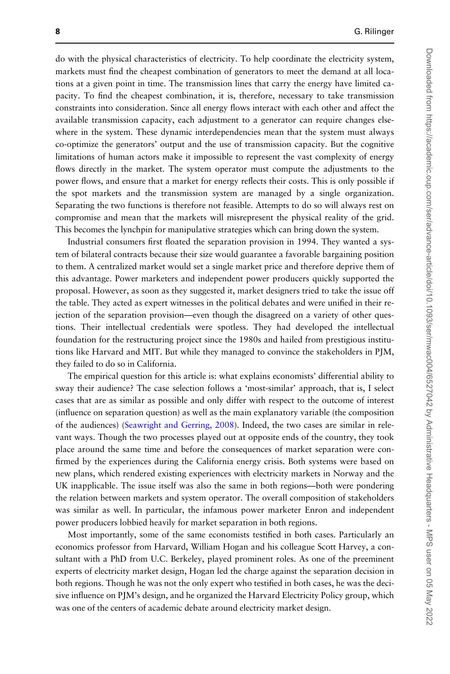do with the physical characteristics of electricity. To help coordinate the electricity system, markets must find the cheapest combination of generators to meet the demand at all locations at a given point in time. The transmission lines that carry the energy have limited capacity. To find the cheapest combination, it is, therefore, necessary to take transmission constraints into consideration. Since all energy flows interact with each other and affect the available transmission capacity, each adjustment to a generator can require changes elsewhere in the system. These dynamic interdependencies mean that the system must always co-optimize the generators' output and the use of transmission capacity. But the cognitive limitations of human actors make it impossible to represent the vast complexity of energy flows directly in the market. The system operator must compute the adjustments to the power flows, and ensure that a market for energy reflects their costs. This is only possible if the spot markets and the transmission system are managed by a single organization. Separating the two functions is therefore not feasible. Attempts to do so will always rest on compromise and mean that the markets will misrepresent the physical reality of the grid. This becomes the lynchpin for manipulative strategies which can bring down the system.

Industrial consumers first floated the separation provision in 1994. They wanted a system of bilateral contracts because their size would guarantee a favorable bargaining position to them. A centralized market would set a single market price and therefore deprive them of this advantage. Power marketers and independent power producers quickly supported the proposal. However, as soon as they suggested it, market designers tried to take the issue off the table. They acted as expert witnesses in the political debates and were unified in their rejection of the separation provision—even though the disagreed on a variety of other questions. Their intellectual credentials were spotless. They had developed the intellectual foundation for the restructuring project since the 1980s and hailed from prestigious institutions like Harvard and MIT. But while they managed to convince the stakeholders in PJM, they failed to do so in California.

The empirical question for this article is: what explains economists' differential ability to sway their audience? The case selection follows a 'most-similar' approach, that is, I select cases that are as similar as possible and only differ with respect to the outcome of interest (influence on separation question) as well as the main explanatory variable (the composition of the audiences) ([Seawright and Gerring, 2008](#page-24-0)). Indeed, the two cases are similar in relevant ways. Though the two processes played out at opposite ends of the country, they took place around the same time and before the consequences of market separation were confirmed by the experiences during the California energy crisis. Both systems were based on new plans, which rendered existing experiences with electricity markets in Norway and the UK inapplicable. The issue itself was also the same in both regions—both were pondering the relation between markets and system operator. The overall composition of stakeholders was similar as well. In particular, the infamous power marketer Enron and independent power producers lobbied heavily for market separation in both regions.

Most importantly, some of the same economists testified in both cases. Particularly an economics professor from Harvard, William Hogan and his colleague Scott Harvey, a consultant with a PhD from U.C. Berkeley, played prominent roles. As one of the preeminent experts of electricity market design, Hogan led the charge against the separation decision in both regions. Though he was not the only expert who testified in both cases, he was the decisive influence on PJM's design, and he organized the Harvard Electricity Policy group, which was one of the centers of academic debate around electricity market design.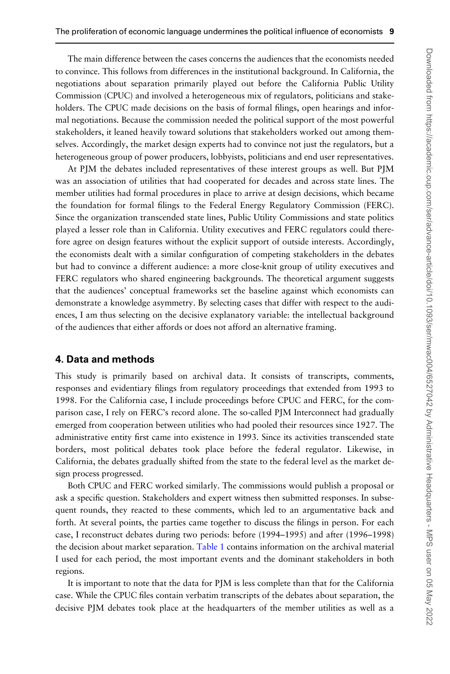The main difference between the cases concerns the audiences that the economists needed to convince. This follows from differences in the institutional background. In California, the negotiations about separation primarily played out before the California Public Utility Commission (CPUC) and involved a heterogeneous mix of regulators, politicians and stakeholders. The CPUC made decisions on the basis of formal filings, open hearings and informal negotiations. Because the commission needed the political support of the most powerful stakeholders, it leaned heavily toward solutions that stakeholders worked out among themselves. Accordingly, the market design experts had to convince not just the regulators, but a heterogeneous group of power producers, lobbyists, politicians and end user representatives.

At PJM the debates included representatives of these interest groups as well. But PJM was an association of utilities that had cooperated for decades and across state lines. The member utilities had formal procedures in place to arrive at design decisions, which became the foundation for formal filings to the Federal Energy Regulatory Commission (FERC). Since the organization transcended state lines, Public Utility Commissions and state politics played a lesser role than in California. Utility executives and FERC regulators could therefore agree on design features without the explicit support of outside interests. Accordingly, the economists dealt with a similar configuration of competing stakeholders in the debates but had to convince a different audience: a more close-knit group of utility executives and FERC regulators who shared engineering backgrounds. The theoretical argument suggests that the audiences' conceptual frameworks set the baseline against which economists can demonstrate a knowledge asymmetry. By selecting cases that differ with respect to the audiences, I am thus selecting on the decisive explanatory variable: the intellectual background of the audiences that either affords or does not afford an alternative framing.

## 4. Data and methods

This study is primarily based on archival data. It consists of transcripts, comments, responses and evidentiary filings from regulatory proceedings that extended from 1993 to 1998. For the California case, I include proceedings before CPUC and FERC, for the comparison case, I rely on FERC's record alone. The so-called PJM Interconnect had gradually emerged from cooperation between utilities who had pooled their resources since 1927. The administrative entity first came into existence in 1993. Since its activities transcended state borders, most political debates took place before the federal regulator. Likewise, in California, the debates gradually shifted from the state to the federal level as the market design process progressed.

Both CPUC and FERC worked similarly. The commissions would publish a proposal or ask a specific question. Stakeholders and expert witness then submitted responses. In subsequent rounds, they reacted to these comments, which led to an argumentative back and forth. At several points, the parties came together to discuss the filings in person. For each case, I reconstruct debates during two periods: before (1994–1995) and after (1996–1998) the decision about market separation. [Table 1](#page-9-0) contains information on the archival material I used for each period, the most important events and the dominant stakeholders in both regions.

It is important to note that the data for PJM is less complete than that for the California case. While the CPUC files contain verbatim transcripts of the debates about separation, the decisive PJM debates took place at the headquarters of the member utilities as well as a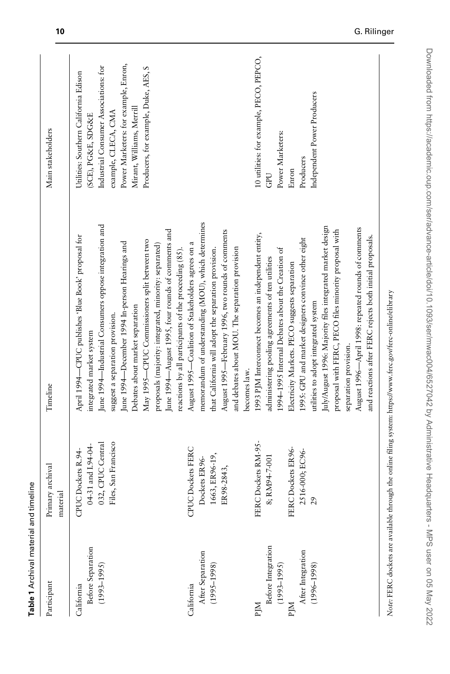<span id="page-9-0"></span>

| Participant                                                                                | Primary archival<br>material                                                              | Timeline                                                                                                                                                                                                                                                                                                                                                                                                                                                                                                                                                                        | Main stakeholders                                                                                                                                                                                                                        |
|--------------------------------------------------------------------------------------------|-------------------------------------------------------------------------------------------|---------------------------------------------------------------------------------------------------------------------------------------------------------------------------------------------------------------------------------------------------------------------------------------------------------------------------------------------------------------------------------------------------------------------------------------------------------------------------------------------------------------------------------------------------------------------------------|------------------------------------------------------------------------------------------------------------------------------------------------------------------------------------------------------------------------------------------|
| Before Separation<br>$(1993 - 1995)$<br>California                                         | 04-31 and 1.94-04-<br>032, CPUC Central<br>Files, San Francisco<br>CPUC Dockets R.94-     | June 1994—Industrial Consumers oppose integration and<br>June 1994—August 1995, four rounds of comments and<br>April 1994-CPUC publishes 'Blue Book' proposal for<br>May 1995—CPUC Commissioners split between two<br>June 1994—December 1994 In-person Hearings and<br>proposals (majority: integrated, minority: separated)<br>reactions by all participants of the proceeding (85).<br>Debates about market separation<br>suggest a separation provision.<br>integrated market system                                                                                        | Power Marketers: for example, Enron,<br>Industrial Consumer Associations: for<br>Producers, for example, Duke, AES, S<br>Utilities: Southern California Edison<br>Mirant, Williams, Merrill<br>example, CLECA, CMA<br>(SCE), PG&E, SDG&E |
| After Separation<br>$(1995 - 1998)$<br>California                                          | <b>CPUC Dockets FERC</b><br>Dockets ER 96-<br>1663, ER 96-19,<br>ER 98-2843,              | memorandum of understanding (MOU), which determines<br>August 1995–February 1996, two rounds of comments<br>August 1995-Coalition of Stakeholders agrees on a<br>and debates about MOU. The separation provision<br>that California will adopt the separation provision.<br>becomes law.                                                                                                                                                                                                                                                                                        |                                                                                                                                                                                                                                          |
| Before Integration<br>After Integration<br>$(1993 - 1995)$<br>$(1996 - 1998)$<br>PM<br>MÍd | FERC Dockets RM-95-<br>FERC Dockets ER96-<br>2516-000; EC96-<br>RM94-7-001<br>$\tilde{c}$ | July/August 1996: Majority files integrated market design<br>August 1996-April 1998: repeated rounds of comments<br>proposal with FERC, PECO files minority proposal with<br>1993 PJM Interconnect becomes an independent entity,<br>and reactions after FERC rejects both initial proposals.<br>1995: GPU and market designers convince other eight<br>1994-1995 Internal Debates about the Creation of<br>administering pooling agreements of ten utilities<br>Electricity Markets. PECO suggests separation<br>utilities to adopt integrated system<br>separation provision. | 10 utilities: for example, PECO, PEPCO,<br>Independent Power Producers<br>Power Marketers:<br>Producers<br>Enron<br>GPU                                                                                                                  |

Downloaded from https://academic.oup.com/ser/advance-article/doi/10.1093/ser/mwac004/6527042 by Administrative Headquarters - MPS user on 05 May 2022 Downloaded from https://academic.oup.com/ser/advance-article/doi/10.1093/ser/mwac004/6527042 by Administrative Headquarters - MPS user on 05 May 2022

Table 1 Archival material and timeline

Table 1 Archival material and timeline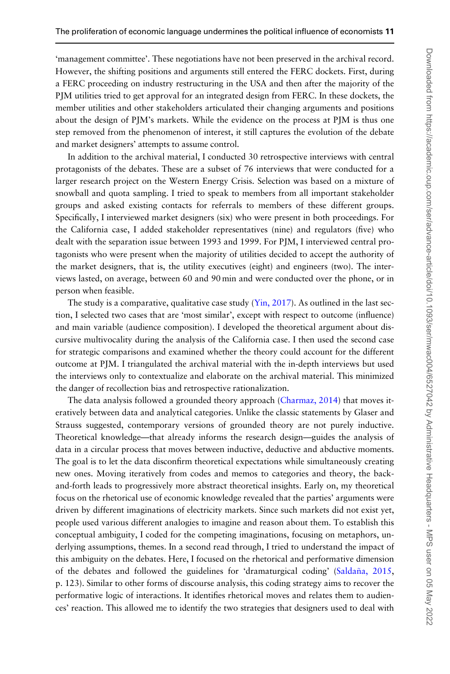'management committee'. These negotiations have not been preserved in the archival record. However, the shifting positions and arguments still entered the FERC dockets. First, during a FERC proceeding on industry restructuring in the USA and then after the majority of the PJM utilities tried to get approval for an integrated design from FERC. In these dockets, the member utilities and other stakeholders articulated their changing arguments and positions about the design of PJM's markets. While the evidence on the process at PJM is thus one step removed from the phenomenon of interest, it still captures the evolution of the debate and market designers' attempts to assume control.

In addition to the archival material, I conducted 30 retrospective interviews with central protagonists of the debates. These are a subset of 76 interviews that were conducted for a larger research project on the Western Energy Crisis. Selection was based on a mixture of snowball and quota sampling. I tried to speak to members from all important stakeholder groups and asked existing contacts for referrals to members of these different groups. Specifically, I interviewed market designers (six) who were present in both proceedings. For the California case, I added stakeholder representatives (nine) and regulators (five) who dealt with the separation issue between 1993 and 1999. For PJM, I interviewed central protagonists who were present when the majority of utilities decided to accept the authority of the market designers, that is, the utility executives (eight) and engineers (two). The interviews lasted, on average, between 60 and 90 min and were conducted over the phone, or in person when feasible.

The study is a comparative, qualitative case study ([Yin, 2017](#page-24-0)). As outlined in the last section, I selected two cases that are 'most similar', except with respect to outcome (influence) and main variable (audience composition). I developed the theoretical argument about discursive multivocality during the analysis of the California case. I then used the second case for strategic comparisons and examined whether the theory could account for the different outcome at PJM. I triangulated the archival material with the in-depth interviews but used the interviews only to contextualize and elaborate on the archival material. This minimized the danger of recollection bias and retrospective rationalization.

The data analysis followed a grounded theory approach ([Charmaz, 2014](#page-22-0)) that moves iteratively between data and analytical categories. Unlike the classic statements by Glaser and Strauss suggested, contemporary versions of grounded theory are not purely inductive. Theoretical knowledge—that already informs the research design—guides the analysis of data in a circular process that moves between inductive, deductive and abductive moments. The goal is to let the data disconfirm theoretical expectations while simultaneously creating new ones. Moving iteratively from codes and memos to categories and theory, the backand-forth leads to progressively more abstract theoretical insights. Early on, my theoretical focus on the rhetorical use of economic knowledge revealed that the parties' arguments were driven by different imaginations of electricity markets. Since such markets did not exist yet, people used various different analogies to imagine and reason about them. To establish this conceptual ambiguity, I coded for the competing imaginations, focusing on metaphors, underlying assumptions, themes. In a second read through, I tried to understand the impact of this ambiguity on the debates. Here, I focused on the rhetorical and performative dimension of the debates and followed the guidelines for 'dramaturgical coding' [\(Saldana, 2015](#page-24-0), p. 123). Similar to other forms of discourse analysis, this coding strategy aims to recover the performative logic of interactions. It identifies rhetorical moves and relates them to audiences' reaction. This allowed me to identify the two strategies that designers used to deal with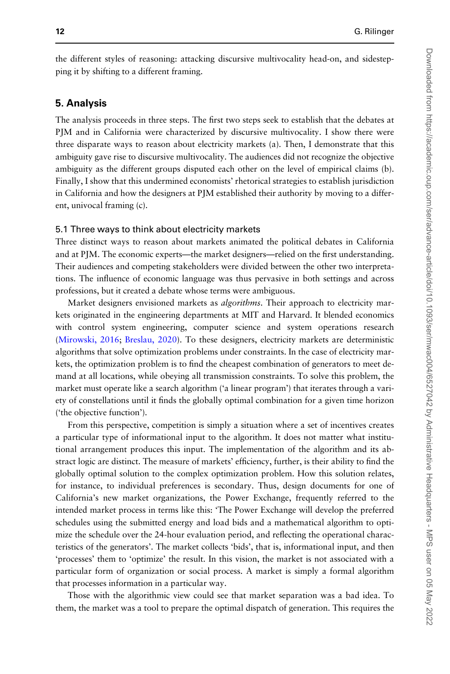the different styles of reasoning: attacking discursive multivocality head-on, and sidestepping it by shifting to a different framing.

# 5. Analysis

The analysis proceeds in three steps. The first two steps seek to establish that the debates at PJM and in California were characterized by discursive multivocality. I show there were three disparate ways to reason about electricity markets (a). Then, I demonstrate that this ambiguity gave rise to discursive multivocality. The audiences did not recognize the objective ambiguity as the different groups disputed each other on the level of empirical claims (b). Finally, I show that this undermined economists' rhetorical strategies to establish jurisdiction in California and how the designers at PJM established their authority by moving to a different, univocal framing (c).

#### 5.1 Three ways to think about electricity markets

Three distinct ways to reason about markets animated the political debates in California and at PJM. The economic experts—the market designers—relied on the first understanding. Their audiences and competing stakeholders were divided between the other two interpretations. The influence of economic language was thus pervasive in both settings and across professions, but it created a debate whose terms were ambiguous.

Market designers envisioned markets as *algorithms*. Their approach to electricity markets originated in the engineering departments at MIT and Harvard. It blended economics with control system engineering, computer science and system operations research [\(Mirowski, 2016](#page-23-0); [Breslau, 2020\)](#page-22-0). To these designers, electricity markets are deterministic algorithms that solve optimization problems under constraints. In the case of electricity markets, the optimization problem is to find the cheapest combination of generators to meet demand at all locations, while obeying all transmission constraints. To solve this problem, the market must operate like a search algorithm ('a linear program') that iterates through a variety of constellations until it finds the globally optimal combination for a given time horizon ('the objective function').

From this perspective, competition is simply a situation where a set of incentives creates a particular type of informational input to the algorithm. It does not matter what institutional arrangement produces this input. The implementation of the algorithm and its abstract logic are distinct. The measure of markets' efficiency, further, is their ability to find the globally optimal solution to the complex optimization problem. How this solution relates, for instance, to individual preferences is secondary. Thus, design documents for one of California's new market organizations, the Power Exchange, frequently referred to the intended market process in terms like this: 'The Power Exchange will develop the preferred schedules using the submitted energy and load bids and a mathematical algorithm to optimize the schedule over the 24-hour evaluation period, and reflecting the operational characteristics of the generators'. The market collects 'bids', that is, informational input, and then 'processes' them to 'optimize' the result. In this vision, the market is not associated with a particular form of organization or social process. A market is simply a formal algorithm that processes information in a particular way.

Those with the algorithmic view could see that market separation was a bad idea. To them, the market was a tool to prepare the optimal dispatch of generation. This requires the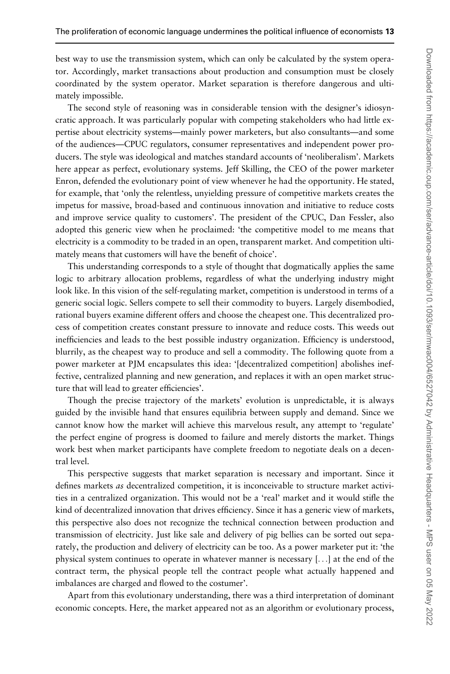best way to use the transmission system, which can only be calculated by the system operator. Accordingly, market transactions about production and consumption must be closely coordinated by the system operator. Market separation is therefore dangerous and ultimately impossible.

The second style of reasoning was in considerable tension with the designer's idiosyncratic approach. It was particularly popular with competing stakeholders who had little expertise about electricity systems—mainly power marketers, but also consultants—and some of the audiences—CPUC regulators, consumer representatives and independent power producers. The style was ideological and matches standard accounts of 'neoliberalism'. Markets here appear as perfect, evolutionary systems. Jeff Skilling, the CEO of the power marketer Enron, defended the evolutionary point of view whenever he had the opportunity. He stated, for example, that 'only the relentless, unyielding pressure of competitive markets creates the impetus for massive, broad-based and continuous innovation and initiative to reduce costs and improve service quality to customers'. The president of the CPUC, Dan Fessler, also adopted this generic view when he proclaimed: 'the competitive model to me means that electricity is a commodity to be traded in an open, transparent market. And competition ultimately means that customers will have the benefit of choice'.

This understanding corresponds to a style of thought that dogmatically applies the same logic to arbitrary allocation problems, regardless of what the underlying industry might look like. In this vision of the self-regulating market, competition is understood in terms of a generic social logic. Sellers compete to sell their commodity to buyers. Largely disembodied, rational buyers examine different offers and choose the cheapest one. This decentralized process of competition creates constant pressure to innovate and reduce costs. This weeds out inefficiencies and leads to the best possible industry organization. Efficiency is understood, blurrily, as the cheapest way to produce and sell a commodity. The following quote from a power marketer at PJM encapsulates this idea: '[decentralized competition] abolishes ineffective, centralized planning and new generation, and replaces it with an open market structure that will lead to greater efficiencies'.

Though the precise trajectory of the markets' evolution is unpredictable, it is always guided by the invisible hand that ensures equilibria between supply and demand. Since we cannot know how the market will achieve this marvelous result, any attempt to 'regulate' the perfect engine of progress is doomed to failure and merely distorts the market. Things work best when market participants have complete freedom to negotiate deals on a decentral level.

This perspective suggests that market separation is necessary and important. Since it defines markets *as* decentralized competition, it is inconceivable to structure market activities in a centralized organization. This would not be a 'real' market and it would stifle the kind of decentralized innovation that drives efficiency. Since it has a generic view of markets, this perspective also does not recognize the technical connection between production and transmission of electricity. Just like sale and delivery of pig bellies can be sorted out separately, the production and delivery of electricity can be too. As a power marketer put it: 'the physical system continues to operate in whatever manner is necessary [...] at the end of the contract term, the physical people tell the contract people what actually happened and imbalances are charged and flowed to the costumer'.

Apart from this evolutionary understanding, there was a third interpretation of dominant economic concepts. Here, the market appeared not as an algorithm or evolutionary process,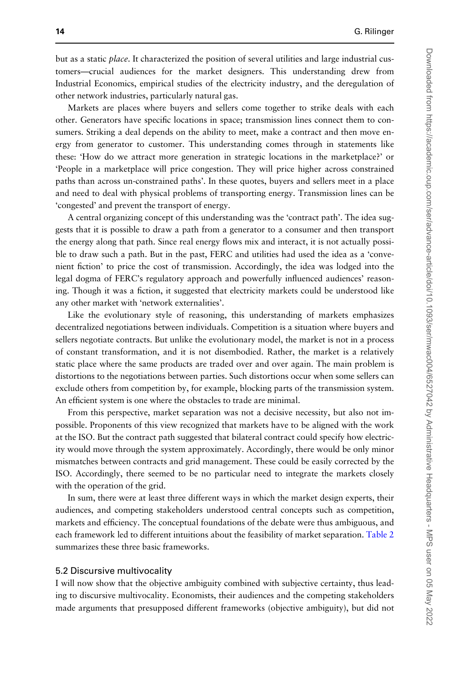but as a static *place*. It characterized the position of several utilities and large industrial customers—crucial audiences for the market designers. This understanding drew from Industrial Economics, empirical studies of the electricity industry, and the deregulation of other network industries, particularly natural gas.

Markets are places where buyers and sellers come together to strike deals with each other. Generators have specific locations in space; transmission lines connect them to consumers. Striking a deal depends on the ability to meet, make a contract and then move energy from generator to customer. This understanding comes through in statements like these: 'How do we attract more generation in strategic locations in the marketplace?' or 'People in a marketplace will price congestion. They will price higher across constrained paths than across un-constrained paths'. In these quotes, buyers and sellers meet in a place and need to deal with physical problems of transporting energy. Transmission lines can be 'congested' and prevent the transport of energy.

A central organizing concept of this understanding was the 'contract path'. The idea suggests that it is possible to draw a path from a generator to a consumer and then transport the energy along that path. Since real energy flows mix and interact, it is not actually possible to draw such a path. But in the past, FERC and utilities had used the idea as a 'convenient fiction' to price the cost of transmission. Accordingly, the idea was lodged into the legal dogma of FERC's regulatory approach and powerfully influenced audiences' reasoning. Though it was a fiction, it suggested that electricity markets could be understood like any other market with 'network externalities'.

Like the evolutionary style of reasoning, this understanding of markets emphasizes decentralized negotiations between individuals. Competition is a situation where buyers and sellers negotiate contracts. But unlike the evolutionary model, the market is not in a process of constant transformation, and it is not disembodied. Rather, the market is a relatively static place where the same products are traded over and over again. The main problem is distortions to the negotiations between parties. Such distortions occur when some sellers can exclude others from competition by, for example, blocking parts of the transmission system. An efficient system is one where the obstacles to trade are minimal.

From this perspective, market separation was not a decisive necessity, but also not impossible. Proponents of this view recognized that markets have to be aligned with the work at the ISO. But the contract path suggested that bilateral contract could specify how electricity would move through the system approximately. Accordingly, there would be only minor mismatches between contracts and grid management. These could be easily corrected by the ISO. Accordingly, there seemed to be no particular need to integrate the markets closely with the operation of the grid.

In sum, there were at least three different ways in which the market design experts, their audiences, and competing stakeholders understood central concepts such as competition, markets and efficiency. The conceptual foundations of the debate were thus ambiguous, and each framework led to different intuitions about the feasibility of market separation. [Table 2](#page-9-0) summarizes these three basic frameworks.

# 5.2 Discursive multivocality

I will now show that the objective ambiguity combined with subjective certainty, thus leading to discursive multivocality. Economists, their audiences and the competing stakeholders made arguments that presupposed different frameworks (objective ambiguity), but did not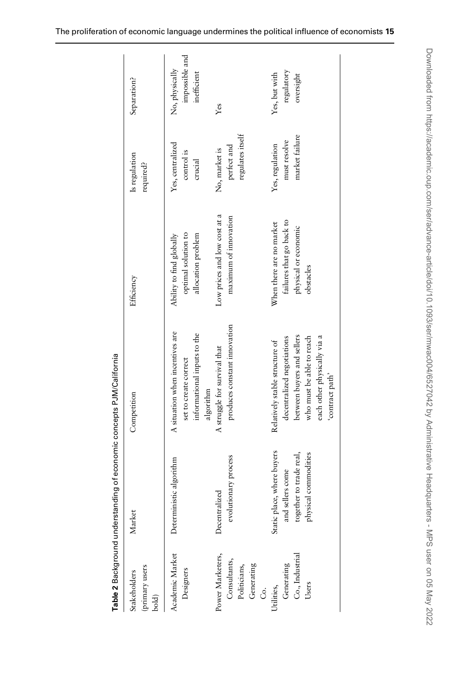|                                                                      | - האינטרייני היינטרייני ביוני היינטרייני בארצוני היינטריני ביונטריני היינטריני בארצוני היינטריני ביונטריני היינ<br>האינטרייני היינטרייני היינטריני היינטריני היינטריני היינטריני היינטריני היינטריני היינטריני היינטריני היינטרי |                                                                                                                                                                           |                                                                                           |                                                   |                                                 |
|----------------------------------------------------------------------|----------------------------------------------------------------------------------------------------------------------------------------------------------------------------------------------------------------------------------|---------------------------------------------------------------------------------------------------------------------------------------------------------------------------|-------------------------------------------------------------------------------------------|---------------------------------------------------|-------------------------------------------------|
| (primary users<br>Stakeholders<br>bold)                              | Market                                                                                                                                                                                                                           | Competition                                                                                                                                                               | Efficiency                                                                                | Is regulation<br>required?                        | Separation?                                     |
| Academic Market<br>Designers                                         | Deterministic algorithm                                                                                                                                                                                                          | A situation when incentives are<br>informational inputs to the<br>set to create correct<br>algorithm                                                                      | optimal solution to<br>allocation problem<br>Ability to find globally                     | Yes, centralized<br>control is<br>crucial         | impossible and<br>No, physically<br>inefficient |
| Power Marketers,<br>Consultants,<br>Generating<br>Politicians,<br>ි. | evolutionary process<br>Decentralized                                                                                                                                                                                            | produces constant innovation<br>A struggle for survival that                                                                                                              | Low prices and low cost at a<br>maximum of innovation                                     | regulates itself<br>perfect and<br>No, market is  | Yes                                             |
| Co., Industrial<br>Generating<br>Users<br>Utilities,                 | Static place, where buyers<br>together to trade real,<br>physical commodities<br>and sellers come                                                                                                                                | between buyers and sellers<br>each other physically via a<br>who must be able to reach<br>decentralized negotiations<br>Relatively stable structure of<br>'contract path' | failures that go back to<br>When there are no market<br>physical or economic<br>obstacles | market failure<br>must resolve<br>Yes, regulation | regulatory<br>Yes, but with<br>oversight        |
|                                                                      |                                                                                                                                                                                                                                  |                                                                                                                                                                           |                                                                                           |                                                   |                                                 |

Table 2 Background understanding of economic concepts PJM/California Table 2 Background understanding of economic concepts PJM/California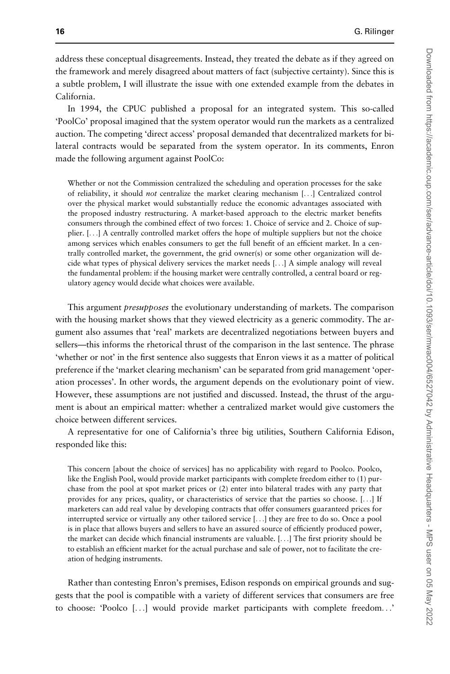address these conceptual disagreements. Instead, they treated the debate as if they agreed on the framework and merely disagreed about matters of fact (subjective certainty). Since this is a subtle problem, I will illustrate the issue with one extended example from the debates in California.

In 1994, the CPUC published a proposal for an integrated system. This so-called 'PoolCo' proposal imagined that the system operator would run the markets as a centralized auction. The competing 'direct access' proposal demanded that decentralized markets for bilateral contracts would be separated from the system operator. In its comments, Enron made the following argument against PoolCo:

Whether or not the Commission centralized the scheduling and operation processes for the sake of reliability, it should not centralize the market clearing mechanism [...] Centralized control over the physical market would substantially reduce the economic advantages associated with the proposed industry restructuring. A market-based approach to the electric market benefits consumers through the combined effect of two forces: 1. Choice of service and 2. Choice of supplier. [...] A centrally controlled market offers the hope of multiple suppliers but not the choice among services which enables consumers to get the full benefit of an efficient market. In a centrally controlled market, the government, the grid owner(s) or some other organization will decide what types of physical delivery services the market needs [...] A simple analogy will reveal the fundamental problem: if the housing market were centrally controlled, a central board or regulatory agency would decide what choices were available.

This argument *presupposes* the evolutionary understanding of markets. The comparison with the housing market shows that they viewed electricity as a generic commodity. The argument also assumes that 'real' markets are decentralized negotiations between buyers and sellers—this informs the rhetorical thrust of the comparison in the last sentence. The phrase 'whether or not' in the first sentence also suggests that Enron views it as a matter of political preference if the 'market clearing mechanism' can be separated from grid management 'operation processes'. In other words, the argument depends on the evolutionary point of view. However, these assumptions are not justified and discussed. Instead, the thrust of the argument is about an empirical matter: whether a centralized market would give customers the choice between different services.

A representative for one of California's three big utilities, Southern California Edison, responded like this:

This concern [about the choice of services] has no applicability with regard to Poolco. Poolco, like the English Pool, would provide market participants with complete freedom either to (1) purchase from the pool at spot market prices or (2) enter into bilateral trades with any party that provides for any prices, quality, or characteristics of service that the parties so choose. [...] If marketers can add real value by developing contracts that offer consumers guaranteed prices for interrupted service or virtually any other tailored service [...] they are free to do so. Once a pool is in place that allows buyers and sellers to have an assured source of efficiently produced power, the market can decide which financial instruments are valuable. [...] The first priority should be to establish an efficient market for the actual purchase and sale of power, not to facilitate the creation of hedging instruments.

Rather than contesting Enron's premises, Edison responds on empirical grounds and suggests that the pool is compatible with a variety of different services that consumers are free to choose: 'Poolco [...] would provide market participants with complete freedom...'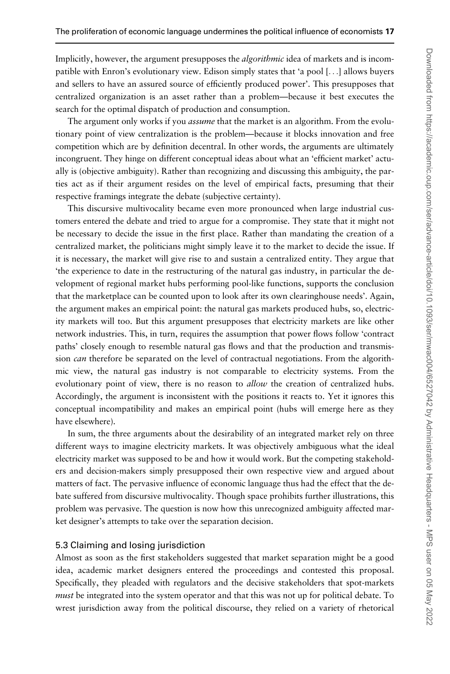Implicitly, however, the argument presupposes the *algorithmic* idea of markets and is incompatible with Enron's evolutionary view. Edison simply states that 'a pool [...] allows buyers and sellers to have an assured source of efficiently produced power'. This presupposes that centralized organization is an asset rather than a problem—because it best executes the search for the optimal dispatch of production and consumption.

The argument only works if you *assume* that the market is an algorithm. From the evolutionary point of view centralization is the problem—because it blocks innovation and free competition which are by definition decentral. In other words, the arguments are ultimately incongruent. They hinge on different conceptual ideas about what an 'efficient market' actually is (objective ambiguity). Rather than recognizing and discussing this ambiguity, the parties act as if their argument resides on the level of empirical facts, presuming that their respective framings integrate the debate (subjective certainty).

This discursive multivocality became even more pronounced when large industrial customers entered the debate and tried to argue for a compromise. They state that it might not be necessary to decide the issue in the first place. Rather than mandating the creation of a centralized market, the politicians might simply leave it to the market to decide the issue. If it is necessary, the market will give rise to and sustain a centralized entity. They argue that 'the experience to date in the restructuring of the natural gas industry, in particular the development of regional market hubs performing pool-like functions, supports the conclusion that the marketplace can be counted upon to look after its own clearinghouse needs'. Again, the argument makes an empirical point: the natural gas markets produced hubs, so, electricity markets will too. But this argument presupposes that electricity markets are like other network industries. This, in turn, requires the assumption that power flows follow 'contract paths' closely enough to resemble natural gas flows and that the production and transmission *can* therefore be separated on the level of contractual negotiations. From the algorithmic view, the natural gas industry is not comparable to electricity systems. From the evolutionary point of view, there is no reason to *allow* the creation of centralized hubs. Accordingly, the argument is inconsistent with the positions it reacts to. Yet it ignores this conceptual incompatibility and makes an empirical point (hubs will emerge here as they have elsewhere).

In sum, the three arguments about the desirability of an integrated market rely on three different ways to imagine electricity markets. It was objectively ambiguous what the ideal electricity market was supposed to be and how it would work. But the competing stakeholders and decision-makers simply presupposed their own respective view and argued about matters of fact. The pervasive influence of economic language thus had the effect that the debate suffered from discursive multivocality. Though space prohibits further illustrations, this problem was pervasive. The question is now how this unrecognized ambiguity affected market designer's attempts to take over the separation decision.

## 5.3 Claiming and losing jurisdiction

Almost as soon as the first stakeholders suggested that market separation might be a good idea, academic market designers entered the proceedings and contested this proposal. Specifically, they pleaded with regulators and the decisive stakeholders that spot-markets *must* be integrated into the system operator and that this was not up for political debate. To wrest jurisdiction away from the political discourse, they relied on a variety of rhetorical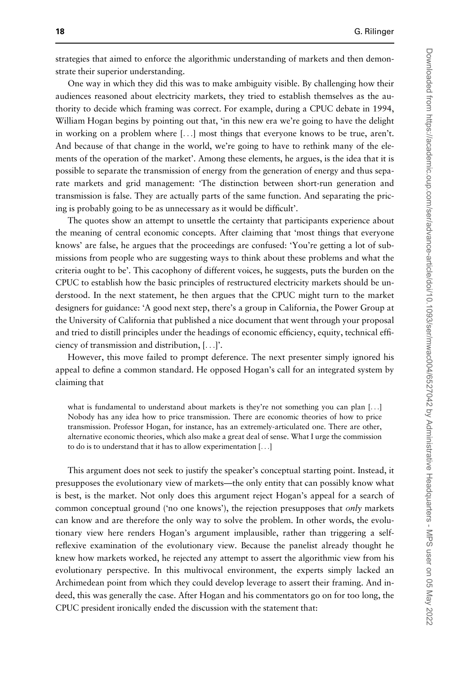strategies that aimed to enforce the algorithmic understanding of markets and then demonstrate their superior understanding.

One way in which they did this was to make ambiguity visible. By challenging how their audiences reasoned about electricity markets, they tried to establish themselves as the authority to decide which framing was correct. For example, during a CPUC debate in 1994, William Hogan begins by pointing out that, 'in this new era we're going to have the delight in working on a problem where [...] most things that everyone knows to be true, aren't. And because of that change in the world, we're going to have to rethink many of the elements of the operation of the market'. Among these elements, he argues, is the idea that it is possible to separate the transmission of energy from the generation of energy and thus separate markets and grid management: 'The distinction between short-run generation and transmission is false. They are actually parts of the same function. And separating the pricing is probably going to be as unnecessary as it would be difficult'.

The quotes show an attempt to unsettle the certainty that participants experience about the meaning of central economic concepts. After claiming that 'most things that everyone knows' are false, he argues that the proceedings are confused: 'You're getting a lot of submissions from people who are suggesting ways to think about these problems and what the criteria ought to be'. This cacophony of different voices, he suggests, puts the burden on the CPUC to establish how the basic principles of restructured electricity markets should be understood. In the next statement, he then argues that the CPUC might turn to the market designers for guidance: 'A good next step, there's a group in California, the Power Group at the University of California that published a nice document that went through your proposal and tried to distill principles under the headings of economic efficiency, equity, technical efficiency of transmission and distribution, [...]'.

However, this move failed to prompt deference. The next presenter simply ignored his appeal to define a common standard. He opposed Hogan's call for an integrated system by claiming that

what is fundamental to understand about markets is they're not something you can plan [...] Nobody has any idea how to price transmission. There are economic theories of how to price transmission. Professor Hogan, for instance, has an extremely-articulated one. There are other, alternative economic theories, which also make a great deal of sense. What I urge the commission to do is to understand that it has to allow experimentation [...]

This argument does not seek to justify the speaker's conceptual starting point. Instead, it presupposes the evolutionary view of markets—the only entity that can possibly know what is best, is the market. Not only does this argument reject Hogan's appeal for a search of common conceptual ground ('no one knows'), the rejection presupposes that *only* markets can know and are therefore the only way to solve the problem. In other words, the evolutionary view here renders Hogan's argument implausible, rather than triggering a selfreflexive examination of the evolutionary view. Because the panelist already thought he knew how markets worked, he rejected any attempt to assert the algorithmic view from his evolutionary perspective. In this multivocal environment, the experts simply lacked an Archimedean point from which they could develop leverage to assert their framing. And indeed, this was generally the case. After Hogan and his commentators go on for too long, the CPUC president ironically ended the discussion with the statement that: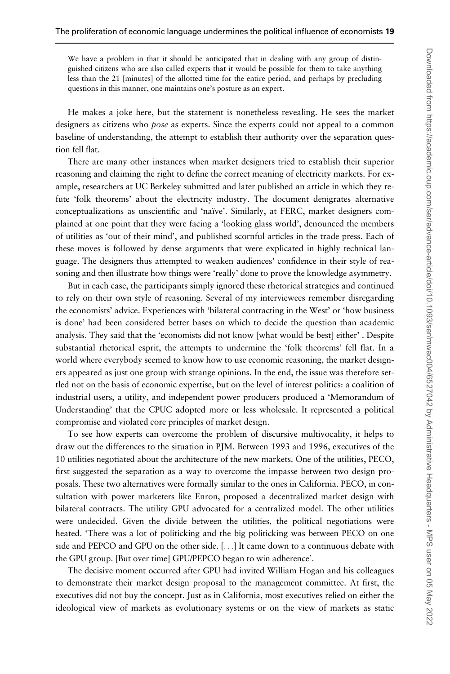We have a problem in that it should be anticipated that in dealing with any group of distinguished citizens who are also called experts that it would be possible for them to take anything less than the 21 [minutes] of the allotted time for the entire period, and perhaps by precluding questions in this manner, one maintains one's posture as an expert.

He makes a joke here, but the statement is nonetheless revealing. He sees the market designers as citizens who pose as experts. Since the experts could not appeal to a common baseline of understanding, the attempt to establish their authority over the separation question fell flat.

There are many other instances when market designers tried to establish their superior reasoning and claiming the right to define the correct meaning of electricity markets. For example, researchers at UC Berkeley submitted and later published an article in which they refute 'folk theorems' about the electricity industry. The document denigrates alternative conceptualizations as unscientific and 'naïve'. Similarly, at FERC, market designers complained at one point that they were facing a 'looking glass world', denounced the members of utilities as 'out of their mind', and published scornful articles in the trade press. Each of these moves is followed by dense arguments that were explicated in highly technical language. The designers thus attempted to weaken audiences' confidence in their style of reasoning and then illustrate how things were 'really' done to prove the knowledge asymmetry.

But in each case, the participants simply ignored these rhetorical strategies and continued to rely on their own style of reasoning. Several of my interviewees remember disregarding the economists' advice. Experiences with 'bilateral contracting in the West' or 'how business is done' had been considered better bases on which to decide the question than academic analysis. They said that the 'economists did not know [what would be best] either' . Despite substantial rhetorical esprit, the attempts to undermine the 'folk theorems' fell flat. In a world where everybody seemed to know how to use economic reasoning, the market designers appeared as just one group with strange opinions. In the end, the issue was therefore settled not on the basis of economic expertise, but on the level of interest politics: a coalition of industrial users, a utility, and independent power producers produced a 'Memorandum of Understanding' that the CPUC adopted more or less wholesale. It represented a political compromise and violated core principles of market design.

To see how experts can overcome the problem of discursive multivocality, it helps to draw out the differences to the situation in PJM. Between 1993 and 1996, executives of the 10 utilities negotiated about the architecture of the new markets. One of the utilities, PECO, first suggested the separation as a way to overcome the impasse between two design proposals. These two alternatives were formally similar to the ones in California. PECO, in consultation with power marketers like Enron, proposed a decentralized market design with bilateral contracts. The utility GPU advocated for a centralized model. The other utilities were undecided. Given the divide between the utilities, the political negotiations were heated. 'There was a lot of politicking and the big politicking was between PECO on one side and PEPCO and GPU on the other side. [...] It came down to a continuous debate with the GPU group. [But over time] GPU/PEPCO began to win adherence'.

The decisive moment occurred after GPU had invited William Hogan and his colleagues to demonstrate their market design proposal to the management committee. At first, the executives did not buy the concept. Just as in California, most executives relied on either the ideological view of markets as evolutionary systems or on the view of markets as static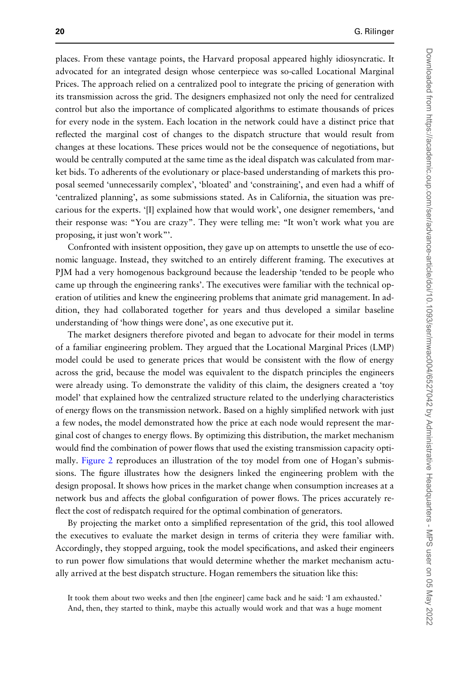places. From these vantage points, the Harvard proposal appeared highly idiosyncratic. It advocated for an integrated design whose centerpiece was so-called Locational Marginal Prices. The approach relied on a centralized pool to integrate the pricing of generation with its transmission across the grid. The designers emphasized not only the need for centralized control but also the importance of complicated algorithms to estimate thousands of prices for every node in the system. Each location in the network could have a distinct price that reflected the marginal cost of changes to the dispatch structure that would result from changes at these locations. These prices would not be the consequence of negotiations, but would be centrally computed at the same time as the ideal dispatch was calculated from market bids. To adherents of the evolutionary or place-based understanding of markets this proposal seemed 'unnecessarily complex', 'bloated' and 'constraining', and even had a whiff of 'centralized planning', as some submissions stated. As in California, the situation was precarious for the experts. '[I] explained how that would work', one designer remembers, 'and their response was: "You are crazy". They were telling me: "It won't work what you are proposing, it just won't work"'.

Confronted with insistent opposition, they gave up on attempts to unsettle the use of economic language. Instead, they switched to an entirely different framing. The executives at PJM had a very homogenous background because the leadership 'tended to be people who came up through the engineering ranks'. The executives were familiar with the technical operation of utilities and knew the engineering problems that animate grid management. In addition, they had collaborated together for years and thus developed a similar baseline understanding of 'how things were done', as one executive put it.

The market designers therefore pivoted and began to advocate for their model in terms of a familiar engineering problem. They argued that the Locational Marginal Prices (LMP) model could be used to generate prices that would be consistent with the flow of energy across the grid, because the model was equivalent to the dispatch principles the engineers were already using. To demonstrate the validity of this claim, the designers created a 'toy model' that explained how the centralized structure related to the underlying characteristics of energy flows on the transmission network. Based on a highly simplified network with just a few nodes, the model demonstrated how the price at each node would represent the marginal cost of changes to energy flows. By optimizing this distribution, the market mechanism would find the combination of power flows that used the existing transmission capacity opti-mally. [Figure 2](#page-20-0) reproduces an illustration of the toy model from one of Hogan's submissions. The figure illustrates how the designers linked the engineering problem with the design proposal. It shows how prices in the market change when consumption increases at a network bus and affects the global configuration of power flows. The prices accurately reflect the cost of redispatch required for the optimal combination of generators.

By projecting the market onto a simplified representation of the grid, this tool allowed the executives to evaluate the market design in terms of criteria they were familiar with. Accordingly, they stopped arguing, took the model specifications, and asked their engineers to run power flow simulations that would determine whether the market mechanism actually arrived at the best dispatch structure. Hogan remembers the situation like this:

It took them about two weeks and then [the engineer] came back and he said: 'I am exhausted.' And, then, they started to think, maybe this actually would work and that was a huge moment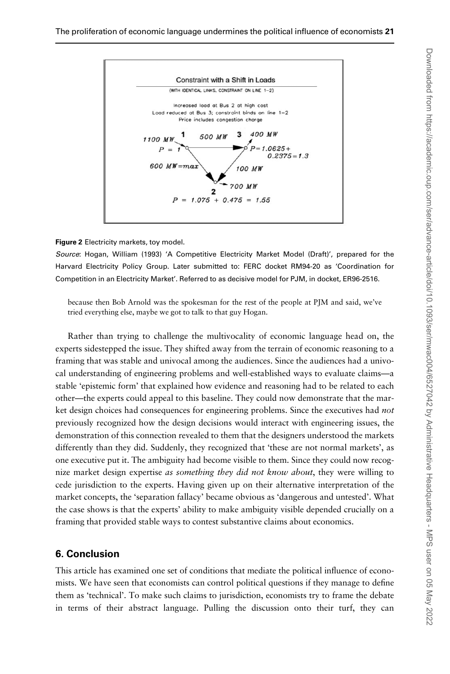<span id="page-20-0"></span>

#### Figure 2 Electricity markets, toy model.

Source: Hogan, William (1993) 'A Competitive Electricity Market Model (Draft)', prepared for the Harvard Electricity Policy Group. Later submitted to: FERC docket RM94-20 as 'Coordination for Competition in an Electricity Market'. Referred to as decisive model for PJM, in docket, ER96-2516.

because then Bob Arnold was the spokesman for the rest of the people at PJM and said, we've tried everything else, maybe we got to talk to that guy Hogan.

Rather than trying to challenge the multivocality of economic language head on, the experts sidestepped the issue. They shifted away from the terrain of economic reasoning to a framing that was stable and univocal among the audiences. Since the audiences had a univocal understanding of engineering problems and well-established ways to evaluate claims—a stable 'epistemic form' that explained how evidence and reasoning had to be related to each other—the experts could appeal to this baseline. They could now demonstrate that the market design choices had consequences for engineering problems. Since the executives had not previously recognized how the design decisions would interact with engineering issues, the demonstration of this connection revealed to them that the designers understood the markets differently than they did. Suddenly, they recognized that 'these are not normal markets', as one executive put it. The ambiguity had become visible to them. Since they could now recognize market design expertise as something they did not know about, they were willing to cede jurisdiction to the experts. Having given up on their alternative interpretation of the market concepts, the 'separation fallacy' became obvious as 'dangerous and untested'. What the case shows is that the experts' ability to make ambiguity visible depended crucially on a framing that provided stable ways to contest substantive claims about economics.

# 6. Conclusion

This article has examined one set of conditions that mediate the political influence of economists. We have seen that economists can control political questions if they manage to define them as 'technical'. To make such claims to jurisdiction, economists try to frame the debate in terms of their abstract language. Pulling the discussion onto their turf, they can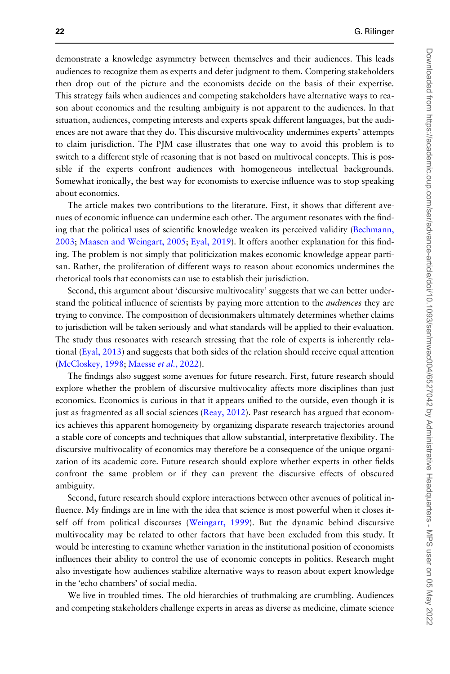demonstrate a knowledge asymmetry between themselves and their audiences. This leads audiences to recognize them as experts and defer judgment to them. Competing stakeholders then drop out of the picture and the economists decide on the basis of their expertise. This strategy fails when audiences and competing stakeholders have alternative ways to reason about economics and the resulting ambiguity is not apparent to the audiences. In that situation, audiences, competing interests and experts speak different languages, but the audiences are not aware that they do. This discursive multivocality undermines experts' attempts to claim jurisdiction. The PJM case illustrates that one way to avoid this problem is to switch to a different style of reasoning that is not based on multivocal concepts. This is possible if the experts confront audiences with homogeneous intellectual backgrounds. Somewhat ironically, the best way for economists to exercise influence was to stop speaking about economics.

The article makes two contributions to the literature. First, it shows that different avenues of economic influence can undermine each other. The argument resonates with the finding that the political uses of scientific knowledge weaken its perceived validity [\(Bechmann,](#page-22-0) [2003](#page-22-0); [Maasen and Weingart, 2005;](#page-23-0) [Eyal, 2019](#page-23-0)). It offers another explanation for this finding. The problem is not simply that politicization makes economic knowledge appear partisan. Rather, the proliferation of different ways to reason about economics undermines the rhetorical tools that economists can use to establish their jurisdiction.

Second, this argument about 'discursive multivocality' suggests that we can better understand the political influence of scientists by paying more attention to the *audiences* they are trying to convince. The composition of decisionmakers ultimately determines whether claims to jurisdiction will be taken seriously and what standards will be applied to their evaluation. The study thus resonates with research stressing that the role of experts is inherently relational [\(Eyal, 2013\)](#page-22-0) and suggests that both sides of the relation should receive equal attention [\(McCloskey, 1998;](#page-23-0) [Maesse](#page-23-0) et al., 2022).

The findings also suggest some avenues for future research. First, future research should explore whether the problem of discursive multivocality affects more disciplines than just economics. Economics is curious in that it appears unified to the outside, even though it is just as fragmented as all social sciences ( $\text{Reay}, 2012$ ). Past research has argued that economics achieves this apparent homogeneity by organizing disparate research trajectories around a stable core of concepts and techniques that allow substantial, interpretative flexibility. The discursive multivocality of economics may therefore be a consequence of the unique organization of its academic core. Future research should explore whether experts in other fields confront the same problem or if they can prevent the discursive effects of obscured ambiguity.

Second, future research should explore interactions between other avenues of political influence. My findings are in line with the idea that science is most powerful when it closes itself off from political discourses ([Weingart, 1999](#page-24-0)). But the dynamic behind discursive multivocality may be related to other factors that have been excluded from this study. It would be interesting to examine whether variation in the institutional position of economists influences their ability to control the use of economic concepts in politics. Research might also investigate how audiences stabilize alternative ways to reason about expert knowledge in the 'echo chambers' of social media.

We live in troubled times. The old hierarchies of truthmaking are crumbling. Audiences and competing stakeholders challenge experts in areas as diverse as medicine, climate science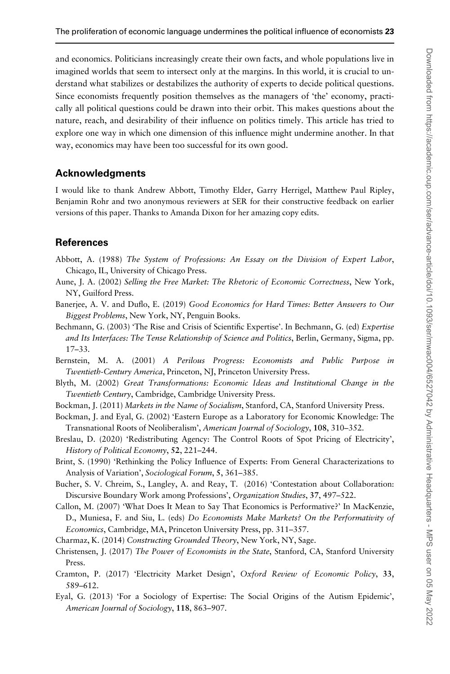<span id="page-22-0"></span>and economics. Politicians increasingly create their own facts, and whole populations live in imagined worlds that seem to intersect only at the margins. In this world, it is crucial to understand what stabilizes or destabilizes the authority of experts to decide political questions. Since economists frequently position themselves as the managers of 'the' economy, practically all political questions could be drawn into their orbit. This makes questions about the nature, reach, and desirability of their influence on politics timely. This article has tried to explore one way in which one dimension of this influence might undermine another. In that way, economics may have been too successful for its own good.

# Acknowledgments

I would like to thank Andrew Abbott, Timothy Elder, Garry Herrigel, Matthew Paul Ripley, Benjamin Rohr and two anonymous reviewers at SER for their constructive feedback on earlier versions of this paper. Thanks to Amanda Dixon for her amazing copy edits.

# **References**

- Abbott, A. (1988) The System of Professions: An Essay on the Division of Expert Labor, Chicago, IL, University of Chicago Press.
- Aune, J. A. (2002) Selling the Free Market: The Rhetoric of Economic Correctness, New York, NY, Guilford Press.
- Banerjee, A. V. and Duflo, E. (2019) Good Economics for Hard Times: Better Answers to Our Biggest Problems, New York, NY, Penguin Books.
- Bechmann, G. (2003) 'The Rise and Crisis of Scientific Expertise'. In Bechmann, G. (ed) Expertise and Its Interfaces: The Tense Relationship of Science and Politics, Berlin, Germany, Sigma, pp. 17–33.
- Bernstein, M. A. (2001) A Perilous Progress: Economists and Public Purpose in Twentieth-Century America, Princeton, NJ, Princeton University Press.
- Blyth, M. (2002) Great Transformations: Economic Ideas and Institutional Change in the Twentieth Century, Cambridge, Cambridge University Press.
- Bockman, J. (2011) Markets in the Name of Socialism, Stanford, CA, Stanford University Press.
- Bockman, J. and Eyal, G. (2002) 'Eastern Europe as a Laboratory for Economic Knowledge: The Transnational Roots of Neoliberalism', American Journal of Sociology, 108, 310–352.
- Breslau, D. (2020) 'Redistributing Agency: The Control Roots of Spot Pricing of Electricity', History of Political Economy, 52, 221–244.
- Brint, S. (1990) 'Rethinking the Policy Influence of Experts: From General Characterizations to Analysis of Variation', Sociological Forum, 5, 361–385.
- Bucher, S. V. Chreim, S., Langley, A. and Reay, T. (2016) 'Contestation about Collaboration: Discursive Boundary Work among Professions', Organization Studies, 37, 497–522.
- Callon, M. (2007) 'What Does It Mean to Say That Economics is Performative?' In MacKenzie, D., Muniesa, F. and Siu, L. (eds) Do Economists Make Markets? On the Performativity of Economics, Cambridge, MA, Princeton University Press, pp. 311–357.
- Charmaz, K. (2014) Constructing Grounded Theory, New York, NY, Sage.
- Christensen, J. (2017) The Power of Economists in the State, Stanford, CA, Stanford University Press.
- Cramton, P. (2017) 'Electricity Market Design', Oxford Review of Economic Policy, 33, 589–612.
- Eyal, G. (2013) 'For a Sociology of Expertise: The Social Origins of the Autism Epidemic', American Journal of Sociology, 118, 863–907.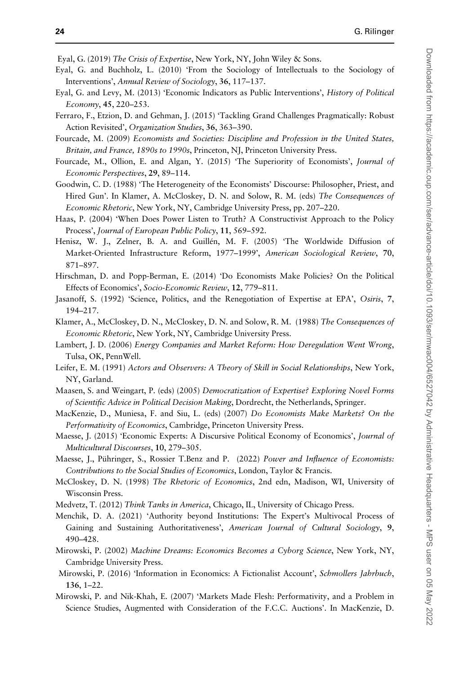<span id="page-23-0"></span>Eyal, G. (2019) The Crisis of Expertise, New York, NY, John Wiley & Sons.

- Eyal, G. and Buchholz, L. (2010) 'From the Sociology of Intellectuals to the Sociology of Interventions', Annual Review of Sociology, 36, 117–137.
- Eyal, G. and Levy, M. (2013) 'Economic Indicators as Public Interventions', History of Political Economy, 45, 220–253.
- Ferraro, F., Etzion, D. and Gehman, J. (2015) 'Tackling Grand Challenges Pragmatically: Robust Action Revisited', Organization Studies, 36, 363–390.
- Fourcade, M. (2009) Economists and Societies: Discipline and Profession in the United States, Britain, and France, 1890s to 1990s, Princeton, NJ, Princeton University Press.
- Fourcade, M., Ollion, E. and Algan, Y. (2015) 'The Superiority of Economists', Journal of Economic Perspectives, 29, 89–114.
- Goodwin, C. D. (1988) 'The Heterogeneity of the Economists' Discourse: Philosopher, Priest, and Hired Gun'. In Klamer, A. McCloskey, D. N. and Solow, R. M. (eds) The Consequences of Economic Rhetoric, New York, NY, Cambridge University Press, pp. 207–220.
- Haas, P. (2004) 'When Does Power Listen to Truth? A Constructivist Approach to the Policy Process', Journal of European Public Policy, 11, 569–592.
- Henisz, W. J., Zelner, B. A. and Guillén, M. F. (2005) 'The Worldwide Diffusion of Market-Oriented Infrastructure Reform, 1977–1999', American Sociological Review, 70, 871–897.
- Hirschman, D. and Popp-Berman, E. (2014) 'Do Economists Make Policies? On the Political Effects of Economics', Socio-Economic Review, 12, 779-811.
- Jasanoff, S. (1992) 'Science, Politics, and the Renegotiation of Expertise at EPA', Osiris, 7, 194–217.
- Klamer, A., McCloskey, D. N., McCloskey, D. N. and Solow, R. M. (1988) The Consequences of Economic Rhetoric, New York, NY, Cambridge University Press.
- Lambert, J. D. (2006) Energy Companies and Market Reform: How Deregulation Went Wrong, Tulsa, OK, PennWell.
- Leifer, E. M. (1991) Actors and Observers: A Theory of Skill in Social Relationships, New York, NY, Garland.
- Maasen, S. and Weingart, P. (eds) (2005) Democratization of Expertise? Exploring Novel Forms of Scientific Advice in Political Decision Making, Dordrecht, the Netherlands, Springer.
- MacKenzie, D., Muniesa, F. and Siu, L. (eds) (2007) Do Economists Make Markets? On the Performativity of Economics, Cambridge, Princeton University Press.
- Maesse, J. (2015) 'Economic Experts: A Discursive Political Economy of Economics', Journal of Multicultural Discourses, 10, 279–305.
- Maesse, J., Pühringer, S., Rossier T.Benz and P. (2022) Power and Influence of Economists: Contributions to the Social Studies of Economics, London, Taylor & Francis.
- McCloskey, D. N. (1998) The Rhetoric of Economics, 2nd edn, Madison, WI, University of Wisconsin Press.
- Medvetz, T. (2012) Think Tanks in America, Chicago, IL, University of Chicago Press.
- Menchik, D. A. (2021) 'Authority beyond Institutions: The Expert's Multivocal Process of Gaining and Sustaining Authoritativeness', American Journal of Cultural Sociology, 9, 490–428.
- Mirowski, P. (2002) Machine Dreams: Economics Becomes a Cyborg Science, New York, NY, Cambridge University Press.
- Mirowski, P. (2016) 'Information in Economics: A Fictionalist Account', Schmollers Jahrbuch, 136, 1–22.
- Mirowski, P. and Nik-Khah, E. (2007) 'Markets Made Flesh: Performativity, and a Problem in Science Studies, Augmented with Consideration of the F.C.C. Auctions'. In MacKenzie, D.